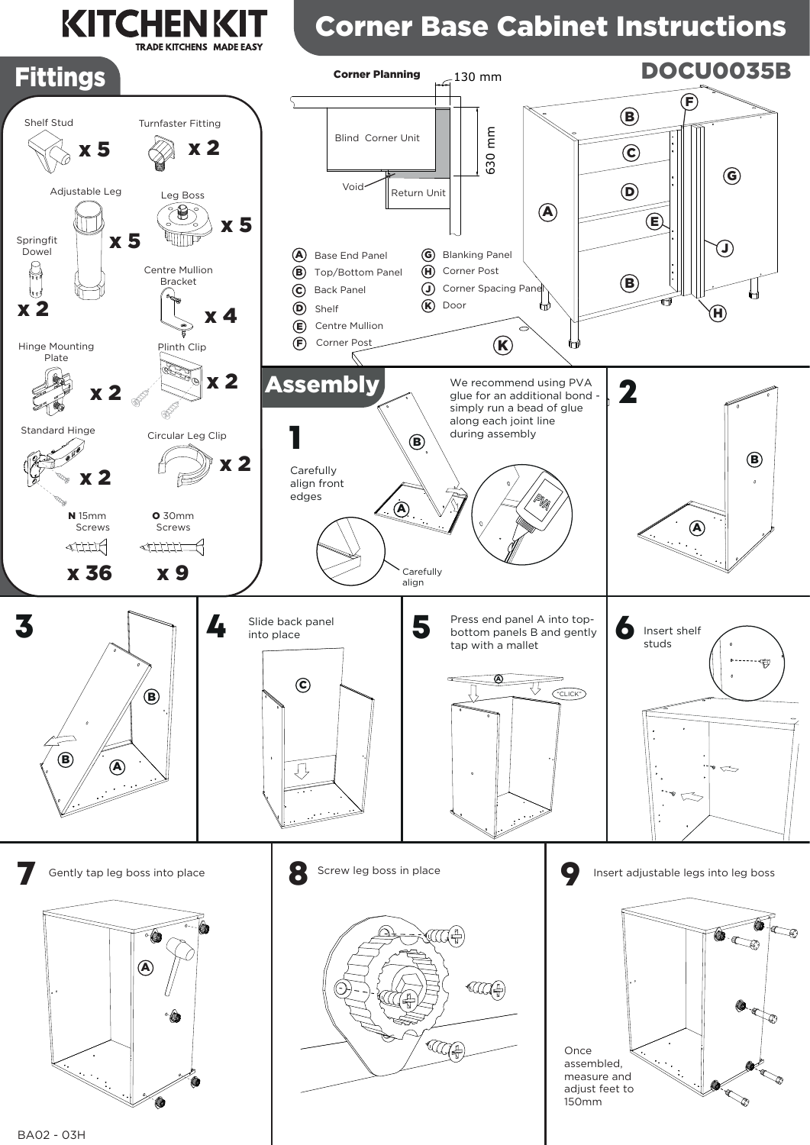## **KITCHENK TRADE KITCHENS MADE EASY**

## Corner Base Cabinet Instructions

150mm





BA02 - 03H